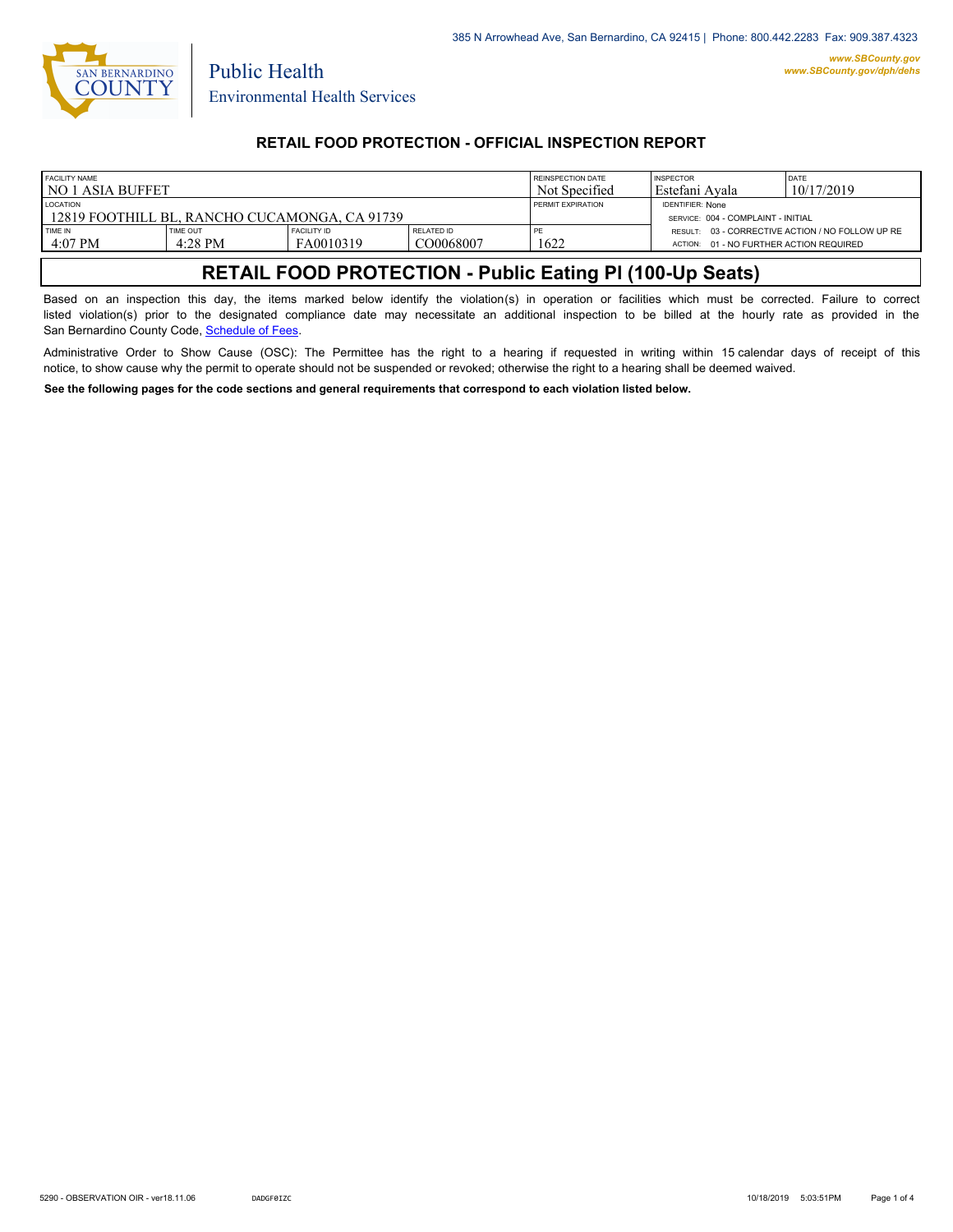

Public Health

### **RETAIL FOOD PROTECTION - OFFICIAL INSPECTION REPORT**

| <b>FACILITY NAME</b><br>I NO 1 ASIA BUFFET                         |                            |                                 | <b>REINSPECTION DATE</b><br>Not Specified | <b>INSPECTOR</b><br>l Estefani Avala | <b>IDATE</b><br>10/17/2019                                    |                                                  |
|--------------------------------------------------------------------|----------------------------|---------------------------------|-------------------------------------------|--------------------------------------|---------------------------------------------------------------|--------------------------------------------------|
| <b>LOCATION</b><br>  12819 FOOTHILL BL. RANCHO CUCAMONGA. CA 91739 |                            |                                 |                                           | <b>PERMIT EXPIRATION</b>             | <b>IDENTIFIER: None</b><br>SERVICE: 004 - COMPLAINT - INITIAL |                                                  |
| TIME IN<br>$4:07$ PM                                               | <b>TIME OUT</b><br>4:28 PM | <b>FACILITY ID</b><br>FA0010319 | <b>RELATED ID</b><br>CO0068007            | PE<br>1622                           | ACTION: 01 - NO FURTHER ACTION REQUIRED                       | RESULT: 03 - CORRECTIVE ACTION / NO FOLLOW UP RE |

# **RETAIL FOOD PROTECTION - Public Eating Pl (100-Up Seats)**

Based on an inspection this day, the items marked below identify the violation(s) in operation or facilities which must be corrected. Failure to correct listed violation(s) prior to the designated compliance date may necessitate an additional inspection to be billed at the hourly rate as provided in the San Bernardino County Code, Sc[hedule of Fees.](http://www.amlegal.com/nxt/gateway.dll/California/sanbernardinocounty_ca/title1governmentandadministration/division6countyfees/chapter2scheduleoffees?f=templates$fn=default.htm$3.0$vid=amlegal:sanbernardinocounty_ca$anc=JD_16.0213B)

Administrative Order to Show Cause (OSC): The Permittee has the right to a hearing if requested in writing within 15 calendar days of receipt of this notice, to show cause why the permit to operate should not be suspended or revoked; otherwise the right to a hearing shall be deemed waived.

**See the following pages for the code sections and general requirements that correspond to each violation listed below.**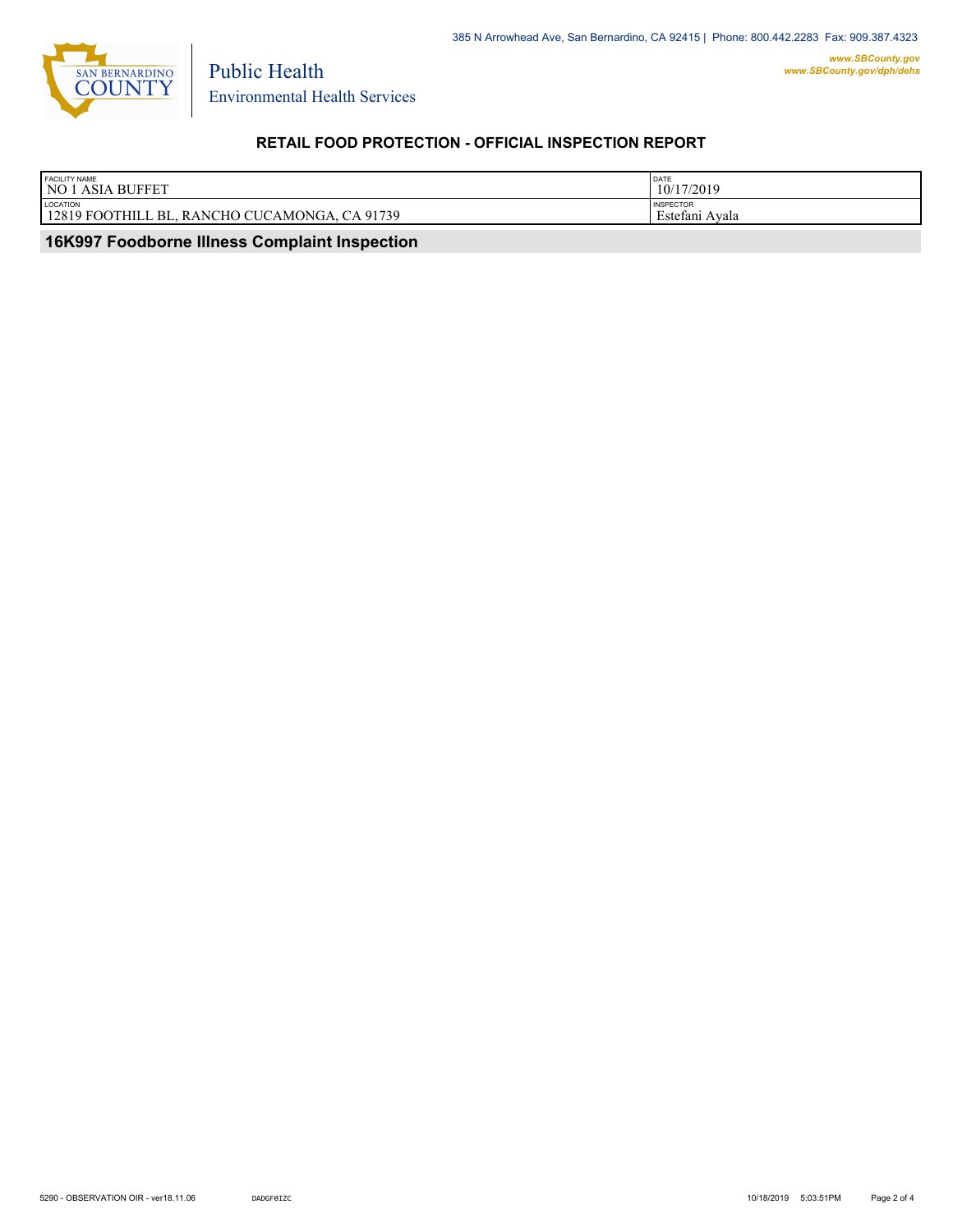

Environmental Health Services

Public Health

## **RETAIL FOOD PROTECTION - OFFICIAL INSPECTION REPORT**

| <b>FACILITY NAME</b>                                              | DATE                                    |
|-------------------------------------------------------------------|-----------------------------------------|
| <b>NO 1 ASIA BUFFET</b>                                           | 10/17/2019                              |
| LOCATION<br>12819 FOOTHILL BL.<br>CA 91739<br>, RANCHO CUCAMONGA, | <b>INSPECTOR</b><br>Avala<br>Estefani z |

 **16K997 Foodborne Illness Complaint Inspection**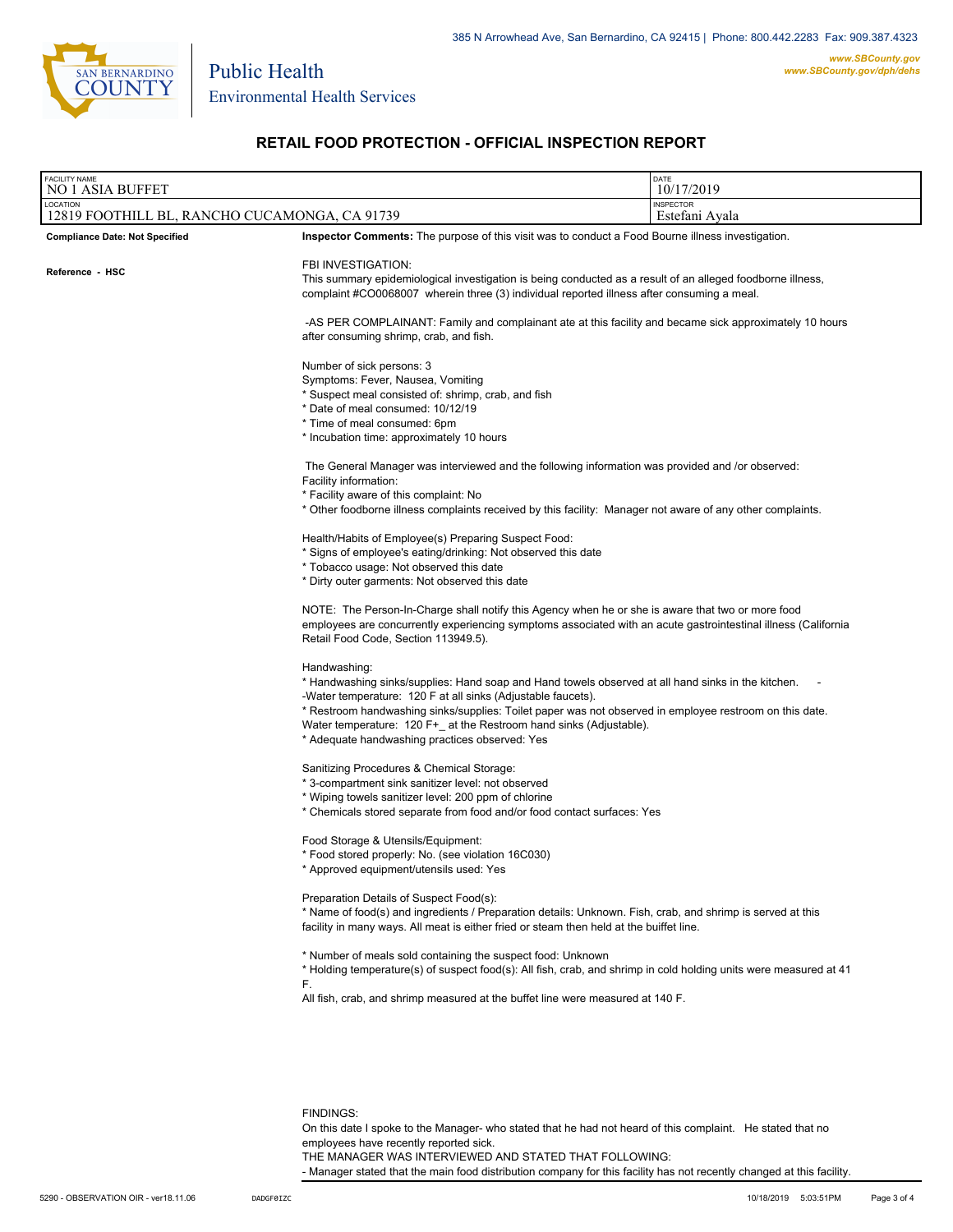

Public Health

#### **RETAIL FOOD PROTECTION - OFFICIAL INSPECTION REPORT**

| <b>FACILITY NAME</b><br><b>NO 1 ASIA BUFFET</b>           | DATE<br>10/17/2019                                                                                                                                                                                                                                                                                                                                                                                                     |  |  |  |  |
|-----------------------------------------------------------|------------------------------------------------------------------------------------------------------------------------------------------------------------------------------------------------------------------------------------------------------------------------------------------------------------------------------------------------------------------------------------------------------------------------|--|--|--|--|
| LOCATION<br>12819 FOOTHILL BL, RANCHO CUCAMONGA, CA 91739 | <b>INSPECTOR</b><br>Estefani Avala                                                                                                                                                                                                                                                                                                                                                                                     |  |  |  |  |
| <b>Compliance Date: Not Specified</b>                     | <b>Inspector Comments:</b> The purpose of this visit was to conduct a Food Bourne illness investigation.                                                                                                                                                                                                                                                                                                               |  |  |  |  |
| Reference - HSC                                           | FBI INVESTIGATION:<br>This summary epidemiological investigation is being conducted as a result of an alleged foodborne illness,<br>complaint #CO0068007 wherein three (3) individual reported illness after consuming a meal.                                                                                                                                                                                         |  |  |  |  |
|                                                           | -AS PER COMPLAINANT: Family and complainant ate at this facility and became sick approximately 10 hours<br>after consuming shrimp, crab, and fish.                                                                                                                                                                                                                                                                     |  |  |  |  |
|                                                           | Number of sick persons: 3<br>Symptoms: Fever, Nausea, Vomiting<br>* Suspect meal consisted of: shrimp, crab, and fish<br>* Date of meal consumed: 10/12/19<br>* Time of meal consumed: 6pm<br>* Incubation time: approximately 10 hours                                                                                                                                                                                |  |  |  |  |
|                                                           | The General Manager was interviewed and the following information was provided and /or observed:<br>Facility information:<br>* Facility aware of this complaint: No<br>* Other foodborne illness complaints received by this facility: Manager not aware of any other complaints.                                                                                                                                      |  |  |  |  |
|                                                           | Health/Habits of Employee(s) Preparing Suspect Food:<br>* Signs of employee's eating/drinking: Not observed this date<br>* Tobacco usage: Not observed this date<br>* Dirty outer garments: Not observed this date                                                                                                                                                                                                     |  |  |  |  |
|                                                           | NOTE: The Person-In-Charge shall notify this Agency when he or she is aware that two or more food<br>employees are concurrently experiencing symptoms associated with an acute gastrointestinal illness (California<br>Retail Food Code, Section 113949.5).                                                                                                                                                            |  |  |  |  |
|                                                           | Handwashing:<br>* Handwashing sinks/supplies: Hand soap and Hand towels observed at all hand sinks in the kitchen.<br>-Water temperature: 120 F at all sinks (Adjustable faucets).<br>* Restroom handwashing sinks/supplies: Toilet paper was not observed in employee restroom on this date.<br>Water temperature: 120 F+_ at the Restroom hand sinks (Adjustable).<br>* Adequate handwashing practices observed: Yes |  |  |  |  |
|                                                           | Sanitizing Procedures & Chemical Storage:<br>* 3-compartment sink sanitizer level: not observed<br>* Wiping towels sanitizer level: 200 ppm of chlorine<br>* Chemicals stored separate from food and/or food contact surfaces: Yes                                                                                                                                                                                     |  |  |  |  |
|                                                           | Food Storage & Utensils/Equipment:<br>* Food stored properly: No. (see violation 16C030)<br>* Approved equipment/utensils used: Yes                                                                                                                                                                                                                                                                                    |  |  |  |  |
|                                                           | Preparation Details of Suspect Food(s):<br>* Name of food(s) and ingredients / Preparation details: Unknown. Fish, crab, and shrimp is served at this<br>facility in many ways. All meat is either fried or steam then held at the buiffet line.                                                                                                                                                                       |  |  |  |  |
|                                                           | * Number of meals sold containing the suspect food: Unknown<br>* Holding temperature(s) of suspect food(s): All fish, crab, and shrimp in cold holding units were measured at 41<br>F.<br>All fish, crab, and shrimp measured at the buffet line were measured at 140 F.                                                                                                                                               |  |  |  |  |
|                                                           |                                                                                                                                                                                                                                                                                                                                                                                                                        |  |  |  |  |

FINDINGS:

On this date I spoke to the Manager- who stated that he had not heard of this complaint. He stated that no employees have recently reported sick.

THE MANAGER WAS INTERVIEWED AND STATED THAT FOLLOWING:

- Manager stated that the main food distribution company for this facility has not recently changed at this facility.